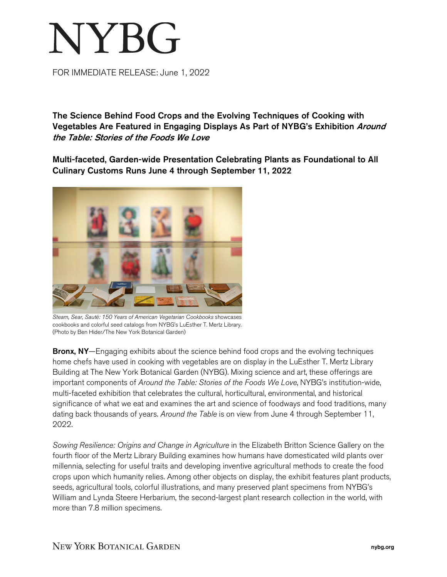## **NYBG**

FOR IMMEDIATE RELEASE: June 1, 2022

The Science Behind Food Crops and the Evolving Techniques of Cooking with Vegetables Are Featured in Engaging Displays As Part of NYBG's Exhibition Around the Table: Stories of the Foods We Love

Multi-faceted, Garden-wide Presentation Celebrating Plants as Foundational to All Culinary Customs Runs June 4 through September 11, 2022



*Steam, Sear, Sauté: 150 Years of American Vegetarian Cookbooks* showcases cookbooks and colorful seed catalogs from NYBG's LuEsther T. Mertz Library. (Photo by Ben Hider/The New York Botanical Garden)

**Bronx, NY**—Engaging exhibits about the science behind food crops and the evolving techniques home chefs have used in cooking with vegetables are on display in the LuEsther T. Mertz Library Building at The New York Botanical Garden (NYBG). Mixing science and art, these offerings are important components of *Around the Table: Stories of the Foods We Love*, NYBG's institution-wide, multi-faceted exhibition that celebrates the cultural, horticultural, environmental, and historical significance of what we eat and examines the art and science of foodways and food traditions, many dating back thousands of years. *Around the Table* is on view from June 4 through September 11, 2022.

*Sowing Resilience: Origins and Change in Agriculture* in the Elizabeth Britton Science Gallery on the fourth floor of the Mertz Library Building examines how humans have domesticated wild plants over millennia, selecting for useful traits and developing inventive agricultural methods to create the food crops upon which humanity relies. Among other objects on display, the exhibit features plant products, seeds, agricultural tools, colorful illustrations, and many preserved plant specimens from NYBG's William and Lynda Steere Herbarium, the second-largest plant research collection in the world, with more than 7.8 million specimens.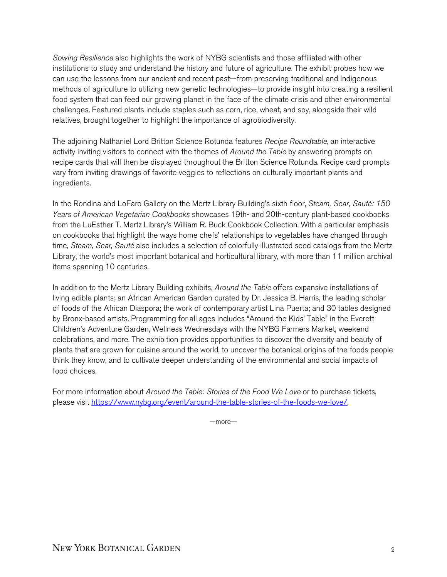*Sowing Resilience* also highlights the work of NYBG scientists and those affiliated with other institutions to study and understand the history and future of agriculture. The exhibit probes how we can use the lessons from our ancient and recent past—from preserving traditional and Indigenous methods of agriculture to utilizing new genetic technologies—to provide insight into creating a resilient food system that can feed our growing planet in the face of the climate crisis and other environmental challenges. Featured plants include staples such as corn, rice, wheat, and soy, alongside their wild relatives, brought together to highlight the importance of agrobiodiversity.

The adjoining Nathaniel Lord Britton Science Rotunda features *Recipe Roundtable*, an interactive activity inviting visitors to connect with the themes of *Around the Table* by answering prompts on recipe cards that will then be displayed throughout the Britton Science Rotunda. Recipe card prompts vary from inviting drawings of favorite veggies to reflections on culturally important plants and ingredients.

In the Rondina and LoFaro Gallery on the Mertz Library Building's sixth floor, *Steam, Sear, Sauté: 150 Years of American Vegetarian Cookbooks* showcases 19th- and 20th-century plant-based cookbooks from the LuEsther T. Mertz Library's William R. Buck Cookbook Collection. With a particular emphasis on cookbooks that highlight the ways home chefs' relationships to vegetables have changed through time, *Steam, Sear, Sauté* also includes a selection of colorfully illustrated seed catalogs from the Mertz Library, the world's most important botanical and horticultural library, with more than 11 million archival items spanning 10 centuries.

In addition to the Mertz Library Building exhibits, *Around the Table* offers expansive installations of living edible plants; an African American Garden curated by Dr. Jessica B. Harris, the leading scholar of foods of the African Diaspora; the work of contemporary artist Lina Puerta; and 30 tables designed by Bronx-based artists. Programming for all ages includes "Around the Kids' Table" in the Everett Children's Adventure Garden, Wellness Wednesdays with the NYBG Farmers Market, weekend celebrations, and more. The exhibition provides opportunities to discover the diversity and beauty of plants that are grown for cuisine around the world, to uncover the botanical origins of the foods people think they know, and to cultivate deeper understanding of the environmental and social impacts of food choices.

For more information about *Around the Table: Stories of the Food We Love* or to purchase tickets, please visit [https://www.nybg.org/event/around-the-table-stories-of-the-foods-we-love/.](https://www.nybg.org/event/around-the-table-stories-of-the-foods-we-love/)

—more—